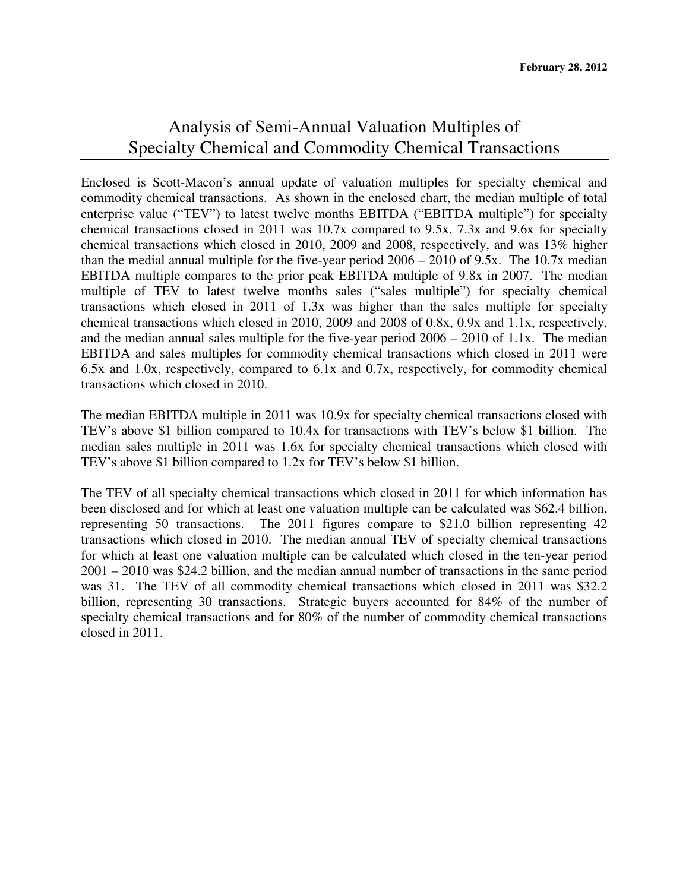## Analysis of Semi-Annual Valuation Multiples of Specialty Chemical and Commodity Chemical Transactions

Enclosed is Scott-Macon's annual update of valuation multiples for specialty chemical and commodity chemical transactions. As shown in the enclosed chart, the median multiple of total enterprise value ("TEV") to latest twelve months EBITDA ("EBITDA multiple") for specialty chemical transactions closed in 2011 was 10.7x compared to 9.5x, 7.3x and 9.6x for specialty chemical transactions which closed in 2010, 2009 and 2008, respectively, and was 13% higher than the medial annual multiple for the five-year period 2006 – 2010 of 9.5x. The 10.7x median EBITDA multiple compares to the prior peak EBITDA multiple of 9.8x in 2007. The median multiple of TEV to latest twelve months sales ("sales multiple") for specialty chemical transactions which closed in 2011 of 1.3x was higher than the sales multiple for specialty chemical transactions which closed in 2010, 2009 and 2008 of 0.8x, 0.9x and 1.1x, respectively, and the median annual sales multiple for the five-year period 2006 – 2010 of 1.1x. The median EBITDA and sales multiples for commodity chemical transactions which closed in 2011 were 6.5x and 1.0x, respectively, compared to 6.1x and 0.7x, respectively, for commodity chemical transactions which closed in 2010.

The median EBITDA multiple in 2011 was 10.9x for specialty chemical transactions closed with TEV's above \$1 billion compared to 10.4x for transactions with TEV's below \$1 billion. The median sales multiple in 2011 was 1.6x for specialty chemical transactions which closed with TEV's above \$1 billion compared to 1.2x for TEV's below \$1 billion.

The TEV of all specialty chemical transactions which closed in 2011 for which information has been disclosed and for which at least one valuation multiple can be calculated was \$62.4 billion, representing 50 transactions. The 2011 figures compare to \$21.0 billion representing 42 transactions which closed in 2010. The median annual TEV of specialty chemical transactions for which at least one valuation multiple can be calculated which closed in the ten-year period 2001 – 2010 was \$24.2 billion, and the median annual number of transactions in the same period was 31. The TEV of all commodity chemical transactions which closed in 2011 was \$32.2 billion, representing 30 transactions. Strategic buyers accounted for 84% of the number of specialty chemical transactions and for 80% of the number of commodity chemical transactions closed in 2011.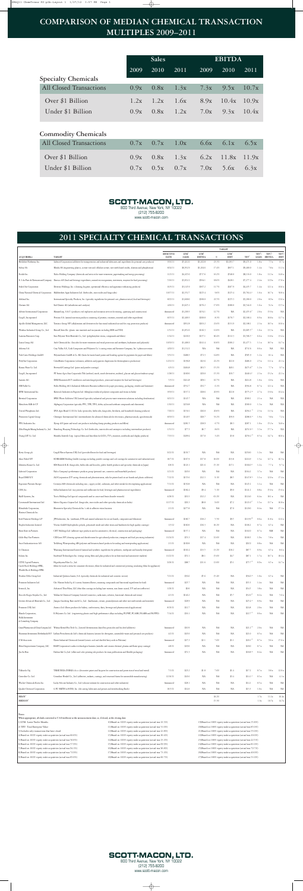## **COMPARISON OF MEDIAN CHEMICAL TRANSACTION MULTIPLES 2009–2011**

|                                | <b>Sales</b> |      |      | <b>EBITDA</b> |       |       |
|--------------------------------|--------------|------|------|---------------|-------|-------|
|                                | 2009         | 2010 | 2011 | 2009          | 2010  | 2011  |
| <b>Specialty Chemicals</b>     |              |      |      |               |       |       |
| <b>All Closed Transactions</b> | 0.9x         | 0.8x | 1.3x | 7.3x          | 9.5x  | 10.7x |
| Over \$1 Billion               | 1.2x         | 1.2x | 1.6x | 8.9x          | 10.4x | 10.9x |
| Under \$1 Billion              | 0.9x         | 0.8x | 1.2x | 7.0x          | 9.3x  | 10.4x |
| <b>Commodity Chemicals</b>     |              |      |      |               |       |       |
| <b>All Closed Transactions</b> | 0.7x         | 0.7x | 1.0x | 6.6x          | 6.1x  | 6.5x  |
| Over \$1 Billion               | 0.9x         | 0.8x | 1.3x | 6.2x          | 11.8x | 11.9x |
| Under \$1 Billion              | 0.7x         | 0.5x | 0.7x | 7.0x          | 5.6x  | 6.3x  |



(212) 755-8200 www.scott-macon.com